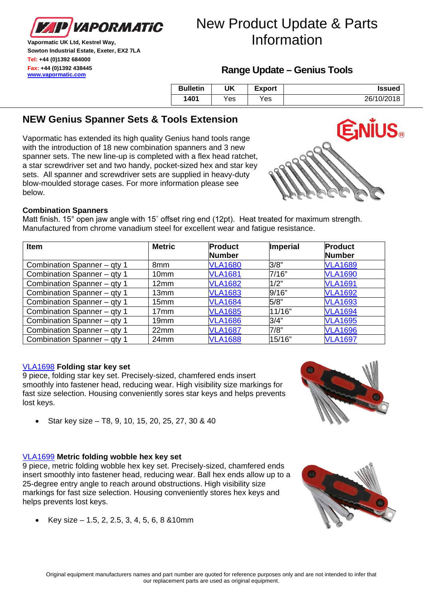

# New Product Update & Parts Information

**Vapormatic UK Ltd, Kestrel Way, Sowton Industrial Estate, Exeter, EX2 7LA Tel: +44 (0)1392 684000 Fax: +44 (0)1392 438445 [www.vapormatic.com](http://www.vapormatic.com/)**

## **Range Update – Genius Tools**

| <b>Bulletin</b> | UK  | Export | <b>Issued</b> |
|-----------------|-----|--------|---------------|
| 1401            | Yes | Yes    | 26/10/2018    |

## **NEW Genius Spanner Sets & Tools Extension**

Vapormatic has extended its high quality Genius hand tools range with the introduction of 18 new combination spanners and 3 new spanner sets. The new line-up is completed with a flex head ratchet, a star screwdriver set and two handy, pocket-sized hex and star key sets. All spanner and screwdriver sets are supplied in heavy-duty blow-moulded storage cases. For more information please see below.



## **Combination Spanners**

Matt finish. 15° open jaw angle with 15˚ offset ring end (12pt). Heat treated for maximum strength. Manufactured from chrome vanadium steel for excellent wear and fatigue resistance.

| <b>Item</b>                 | <b>Metric</b>    | <b>Product</b> | Imperial | <b>Product</b> |
|-----------------------------|------------------|----------------|----------|----------------|
|                             |                  | <b>Number</b>  |          | <b>Number</b>  |
| Combination Spanner - qty 1 | 8mm              | <b>VLA1680</b> | 3/8"     | <b>VLA1689</b> |
| Combination Spanner - qty 1 | 10 <sub>mm</sub> | <b>VLA1681</b> | 7/16"    | <b>VLA1690</b> |
| Combination Spanner - qty 1 | 12mm             | <b>VLA1682</b> | 1/2"     | <b>VLA1691</b> |
| Combination Spanner - qty 1 | 13mm             | <b>VLA1683</b> | 9/16"    | <b>VLA1692</b> |
| Combination Spanner - qty 1 | 15 <sub>mm</sub> | <b>VLA1684</b> | 5/8"     | <b>VLA1693</b> |
| Combination Spanner - qty 1 | 17 <sub>mm</sub> | <b>VLA1685</b> | 11/16"   | <b>VLA1694</b> |
| Combination Spanner - qty 1 | 19mm             | <b>VLA1686</b> | 3/4"     | <b>VLA1695</b> |
| Combination Spanner - qty 1 | 22 <sub>mm</sub> | <b>VLA1687</b> | 7/8"     | <b>VLA1696</b> |
| Combination Spanner - qty 1 | 24mm             | <b>VLA1688</b> | 15/16"   | <b>VLA1697</b> |

#### [VLA1698](https://www.vapormatic.com/tractor-parts.ashx?partsearch=vla1698#part_list) **Folding star key set**

9 piece, folding star key set. Precisely-sized, chamfered ends insert smoothly into fastener head, reducing wear. High visibility size markings for fast size selection. Housing conveniently sores star keys and helps prevents lost keys.



• Star key size – T8, 9, 10, 15, 20, 25, 27, 30 & 40

## [VLA1699](https://www.vapormatic.com/tractor-parts.ashx?descsearch=vla1699#part_list) **Metric folding wobble hex key set**

9 piece, metric folding wobble hex key set. Precisely-sized, chamfered ends insert smoothly into fastener head, reducing wear. Ball hex ends allow up to a 25-degree entry angle to reach around obstructions. High visibility size markings for fast size selection. Housing conveniently stores hex keys and helps prevents lost keys.

• Key size – 1.5, 2, 2.5, 3, 4, 5, 6, 8 &10mm